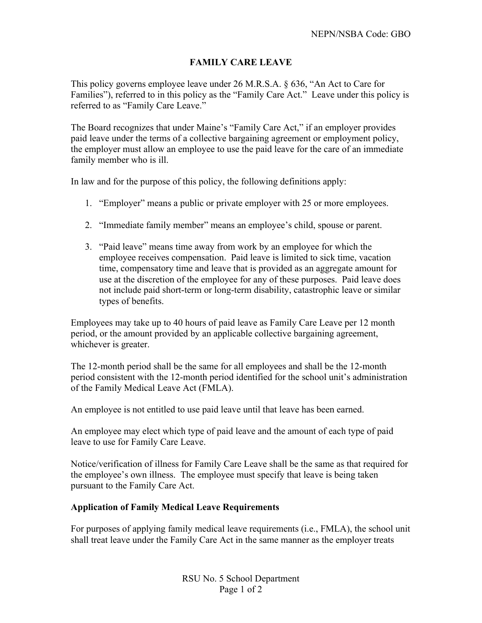## **FAMILY CARE LEAVE**

This policy governs employee leave under 26 M.R.S.A. § 636, "An Act to Care for Families"), referred to in this policy as the "Family Care Act." Leave under this policy is referred to as "Family Care Leave."

The Board recognizes that under Maine's "Family Care Act," if an employer provides paid leave under the terms of a collective bargaining agreement or employment policy, the employer must allow an employee to use the paid leave for the care of an immediate family member who is ill.

In law and for the purpose of this policy, the following definitions apply:

- 1. "Employer" means a public or private employer with 25 or more employees.
- 2. "Immediate family member" means an employee's child, spouse or parent.
- 3. "Paid leave" means time away from work by an employee for which the employee receives compensation. Paid leave is limited to sick time, vacation time, compensatory time and leave that is provided as an aggregate amount for use at the discretion of the employee for any of these purposes. Paid leave does not include paid short-term or long-term disability, catastrophic leave or similar types of benefits.

Employees may take up to 40 hours of paid leave as Family Care Leave per 12 month period, or the amount provided by an applicable collective bargaining agreement, whichever is greater.

The 12-month period shall be the same for all employees and shall be the 12-month period consistent with the 12-month period identified for the school unit's administration of the Family Medical Leave Act (FMLA).

An employee is not entitled to use paid leave until that leave has been earned.

An employee may elect which type of paid leave and the amount of each type of paid leave to use for Family Care Leave.

Notice/verification of illness for Family Care Leave shall be the same as that required for the employee's own illness. The employee must specify that leave is being taken pursuant to the Family Care Act.

## **Application of Family Medical Leave Requirements**

For purposes of applying family medical leave requirements (i.e., FMLA), the school unit shall treat leave under the Family Care Act in the same manner as the employer treats